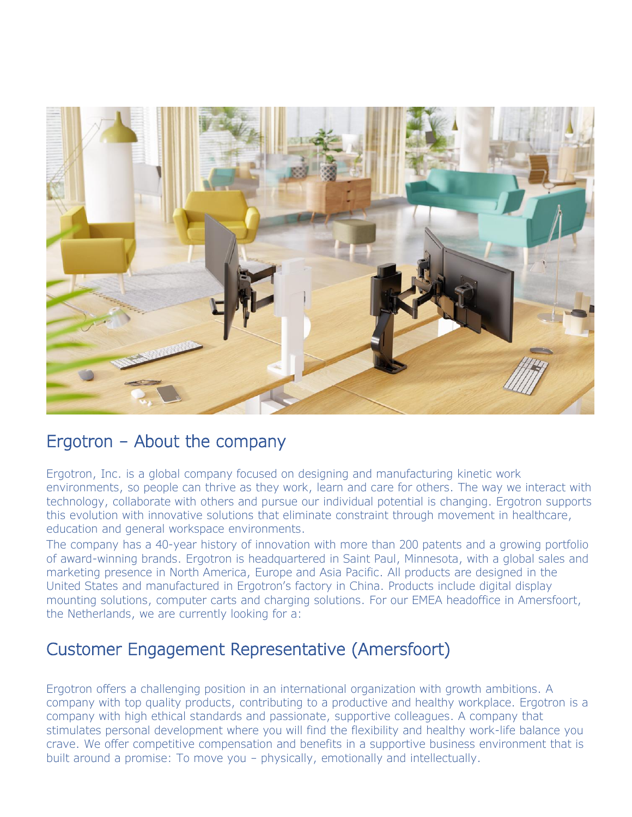

### Ergotron – About the company

Ergotron, Inc. is a global company focused on designing and manufacturing kinetic work environments, so people can thrive as they work, learn and care for others. The way we interact with technology, collaborate with others and pursue our individual potential is changing. Ergotron supports this evolution with innovative solutions that eliminate constraint through movement in healthcare, education and general workspace environments.

The company has a 40-year history of innovation with more than 200 patents and a growing portfolio of award-winning brands. Ergotron is headquartered in Saint Paul, Minnesota, with a global sales and marketing presence in North America, Europe and Asia Pacific. All products are designed in the United States and manufactured in Ergotron's factory in China. Products include digital display mounting solutions, computer carts and charging solutions. For our EMEA headoffice in Amersfoort, the Netherlands, we are currently looking for a:

# Customer Engagement Representative (Amersfoort)

Ergotron offers a challenging position in an international organization with growth ambitions. A company with top quality products, contributing to a productive and healthy workplace. Ergotron is a company with high ethical standards and passionate, supportive colleagues. A company that stimulates personal development where you will find the flexibility and healthy work-life balance you crave. We offer competitive compensation and benefits in a supportive business environment that is built around a promise: To move you – physically, emotionally and intellectually.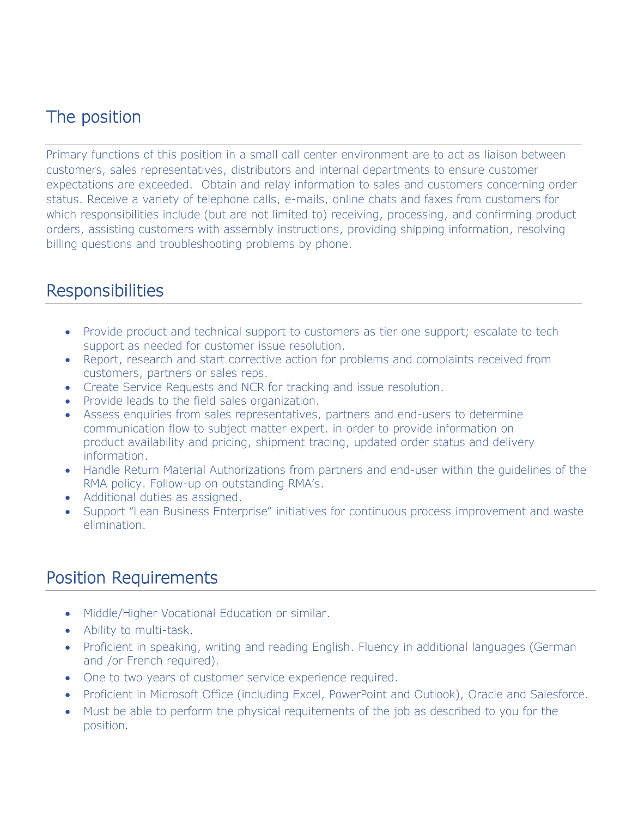# The position

Primary functions of this position in a small call center environment are to act as liaison between customers, sales representatives, distributors and internal departments to ensure customer expectations are exceeded. Obtain and relay information to sales and customers concerning order status. Receive a variety of telephone calls, e-mails, online chats and faxes from customers for which responsibilities include (but are not limited to) receiving, processing, and confirming product orders, assisting customers with assembly instructions, providing shipping information, resolving billing questions and troubleshooting problems by phone.

#### **Responsibilities**

- Provide product and technical support to customers as tier one support; escalate to tech support as needed for customer issue resolution.
- Report, research and start corrective action for problems and complaints received from customers, partners or sales reps.
- Create Service Requests and NCR for tracking and issue resolution.
- Provide leads to the field sales organization.
- Assess enquiries from sales representatives, partners and end-users to determine communication flow to subject matter expert. in order to provide information on product availability and pricing, shipment tracing, updated order status and delivery information.
- Handle Return Material Authorizations from partners and end-user within the guidelines of the RMA policy. Follow-up on outstanding RMA's.
- Additional duties as assigned.
- Support "Lean Business Enterprise" initiatives for continuous process improvement and waste elimination.

## Position Requirements

- Middle/Higher Vocational Education or similar.
- Ability to multi-task.
- Proficient in speaking, writing and reading English. Fluency in additional languages (German and /or French required).
- One to two years of customer service experience required.
- Proficient in Microsoft Office (including Excel, PowerPoint and Outlook), Oracle and Salesforce.
- Must be able to perform the physical requitements of the job as described to you for the position.